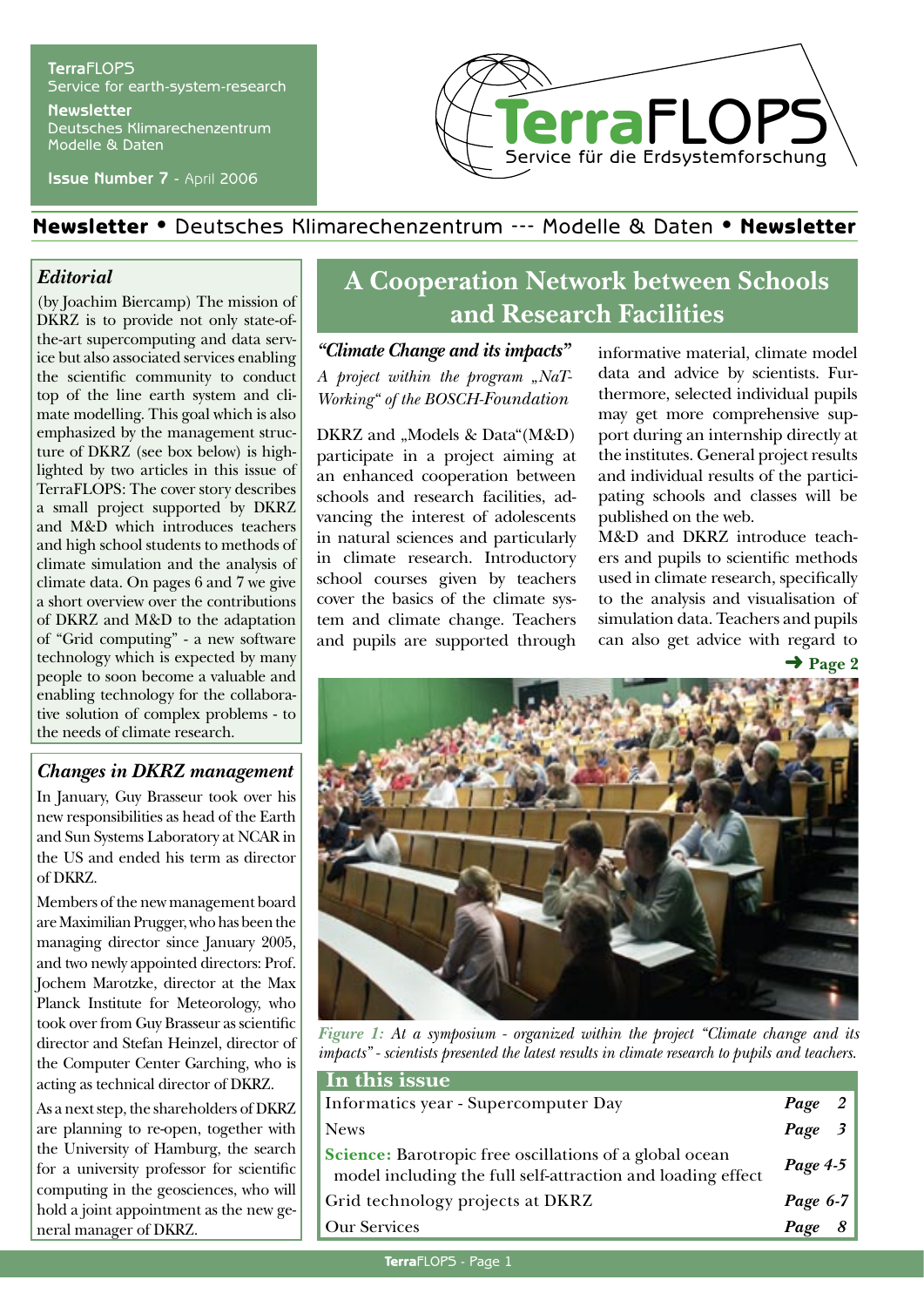#### **Terra**FLOPS Service for earth-system-research **Newsletter**

Deutsches Klimarechenzentrum Modelle & Daten

**Issue Number 7** - April 2006



## Newsletter • Deutsches Klimarechenzentrum --- Modelle & Daten • Newsletter

#### *Editorial*

(by Joachim Biercamp) The mission of DKRZ is to provide not only state-ofthe-art supercomputing and data service but also associated services enabling the scientific community to conduct top of the line earth system and climate modelling. This goal which is also emphasized by the management structure of DKRZ (see box below) is highlighted by two articles in this issue of TerraFLOPS: The cover story describes a small project supported by DKRZ and M&D which introduces teachers and high school students to methods of climate simulation and the analysis of climate data. On pages 6 and 7 we give a short overview over the contributions of DKRZ and M&D to the adaptation of "Grid computing" - a new software technology which is expected by many people to soon become a valuable and enabling technology for the collaborative solution of complex problems - to the needs of climate research.

#### *Changes in DKRZ management*

In January, Guy Brasseur took over his new responsibilities as head of the Earth and Sun Systems Laboratory at NCAR in the US and ended his term as director of DKRZ.

Members of the new management board are Maximilian Prugger, who has been the managing director since January 2005, and two newly appointed directors: Prof. Jochem Marotzke, director at the Max Planck Institute for Meteorology, who took over from Guy Brasseur as scientific director and Stefan Heinzel, director of the Computer Center Garching, who is acting as technical director of DKRZ.

As a next step, the shareholders of DKRZ are planning to re-open, together with the University of Hamburg, the search for a university professor for scientific computing in the geosciences, who will hold a joint appointment as the new general manager of DKRZ.

# **A Cooperation Network between Schools and Research Facilities**

*"Climate Change and its impacts" A project within the program "NaT-Working" of the BOSCH-Foundation*

DKRZ and "Models & Data"(M&D) participate in a project aiming at an enhanced cooperation between schools and research facilities, advancing the interest of adolescents in natural sciences and particularly in climate research. Introductory school courses given by teachers cover the basics of the climate system and climate change. Teachers and pupils are supported through informative material, climate model data and advice by scientists. Furthermore, selected individual pupils may get more comprehensive support during an internship directly at the institutes. General project results and individual results of the participating schools and classes will be published on the web.

M&D and DKRZ introduce teachers and pupils to scientific methods used in climate research, specifically to the analysis and visualisation of simulation data. Teachers and pupils can also get advice with regard to

➜ **Page 2**



*Figure 1: At a symposium - organized within the project "Climate change and its impacts" - scientists presented the latest results in climate research to pupils and teachers.*

| In this issue                                                                                                                 |                |
|-------------------------------------------------------------------------------------------------------------------------------|----------------|
| Informatics year - Supercomputer Day                                                                                          | Page 2         |
| <b>News</b>                                                                                                                   | $Page \quad 3$ |
| <b>Science:</b> Barotropic free oscillations of a global ocean<br>model including the full self-attraction and loading effect | Page 4-5       |
| Grid technology projects at DKRZ                                                                                              | Page 6-7       |
| <b>Our Services</b>                                                                                                           | Page<br>- 8    |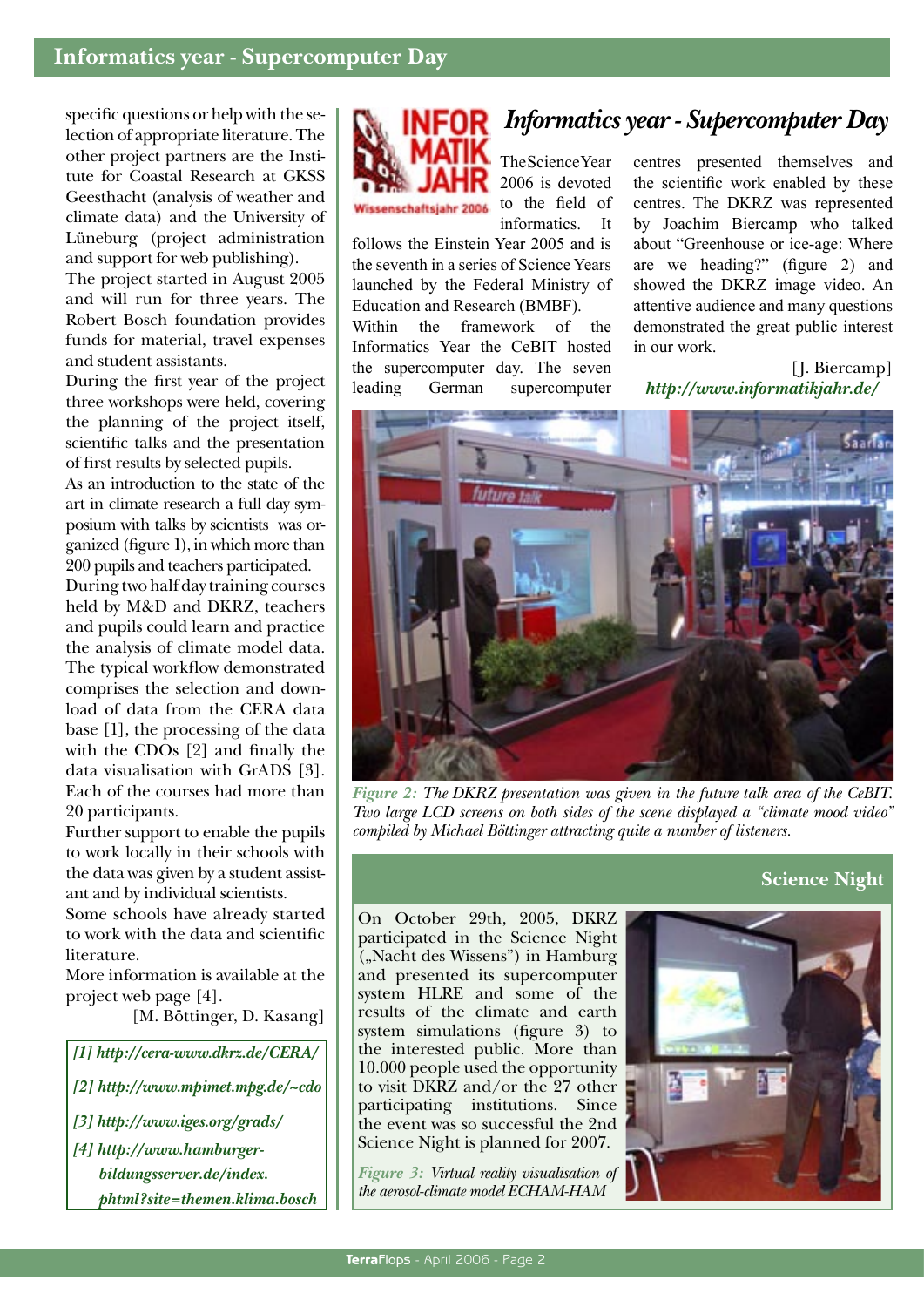specific questions or help with the selection of appropriate literature. The other project partners are the Institute for Coastal Research at GKSS Geesthacht (analysis of weather and climate data) and the University of Lüneburg (project administration and support for web publishing).

The project started in August 2005 and will run for three years. The Robert Bosch foundation provides funds for material, travel expenses and student assistants.

During the first year of the project three workshops were held, covering the planning of the project itself, scientific talks and the presentation of first results by selected pupils.

As an introduction to the state of the art in climate research a full day symposium with talks by scientists was organized (figure 1), in which more than 200 pupils and teachers participated.

During two half day training courses held by M&D and DKRZ, teachers and pupils could learn and practice the analysis of climate model data. The typical workflow demonstrated comprises the selection and download of data from the CERA data base [1], the processing of the data with the CDOs [2] and finally the data visualisation with GrADS [3]. Each of the courses had more than 20 participants.

Further support to enable the pupils to work locally in their schools with the data was given by a student assistant and by individual scientists.

Some schools have already started to work with the data and scientific literature.

More information is available at the project web page [4].

[M. Böttinger, D. Kasang]

*[1] http://cera-www.dkrz.de/CERA/ [2] http://www.mpimet.mpg.de/~cdo [3] http://www.iges.org/grads/ [4] http://www.hamburger-*

*bildungsserver.de/index. phtml?site=themen.klima.bosch*

# *Informatics year - Supercomputer Day*



The Science Year 2006 is devoted to the field of informatics. It

follows the Einstein Year 2005 and is the seventh in a series of Science Years launched by the Federal Ministry of Education and Research (BMBF).

Within the framework of the Informatics Year the CeBIT hosted the supercomputer day. The seven leading German supercomputer

centres presented themselves and the scientific work enabled by these centres. The DKRZ was represented by Joachim Biercamp who talked about "Greenhouse or ice-age: Where are we heading?" (figure 2) and showed the DKRZ image video. An attentive audience and many questions demonstrated the great public interest in our work.

[J. Biercamp] *http://www.informatikjahr.de/*



*Figure 2: The DKRZ presentation was given in the future talk area of the CeBIT. Two large LCD screens on both sides of the scene displayed a "climate mood video" compiled by Michael Böttinger attracting quite a number of listeners.*

### **Science Night**

On October 29th, 2005, DKRZ participated in the Science Night ("Nacht des Wissens") in Hamburg and presented its supercomputer system HLRE and some of the results of the climate and earth system simulations (figure 3) to the interested public. More than 10.000 people used the opportunity to visit DKRZ and/or the 27 other participating institutions. Since the event was so successful the 2nd Science Night is planned for 2007.

*Figure 3: Virtual reality visualisation of the aerosol-climate model ECHAM-HAM*

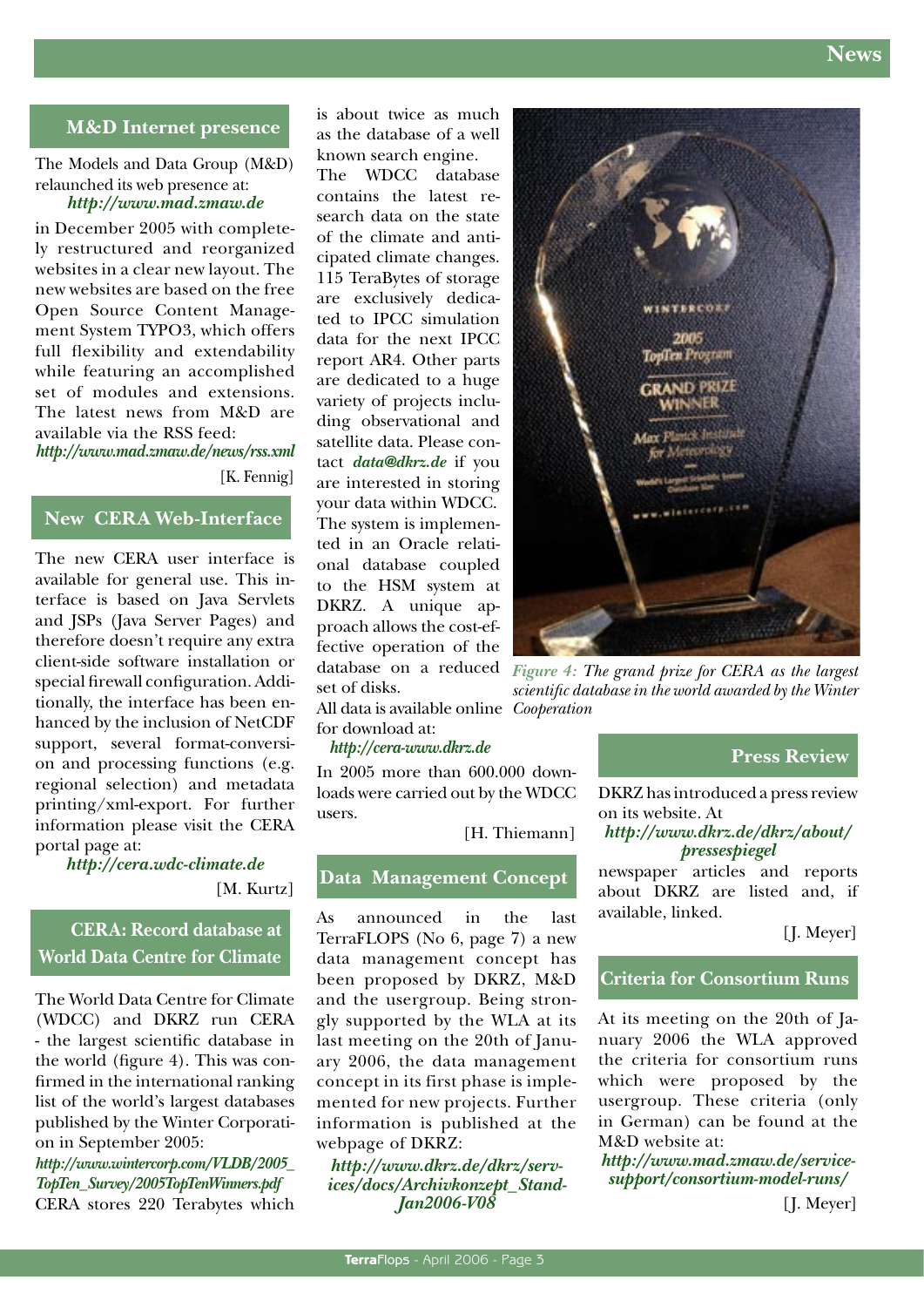

#### **M&D Internet presence**

The Models and Data Group (M&D) relaunched its web presence at: *http://www.mad.zmaw.de* 

in December 2005 with completely restructured and reorganized websites in a clear new layout. The new websites are based on the free Open Source Content Management System TYPO3, which offers full flexibility and extendability while featuring an accomplished set of modules and extensions. The latest news from M&D are available via the RSS feed: *http://www.mad.zmaw.de/news/rss.xml*

[K. Fennig]

#### **New CERA Web-Interface**

The new CERA user interface is available for general use. This interface is based on Java Servlets and JSPs (Java Server Pages) and therefore doesn't require any extra client-side software installation or special firewall configuration. Additionally, the interface has been enhanced by the inclusion of NetCDF support, several format-conversion and processing functions (e.g. regional selection) and metadata printing/xml-export. For further information please visit the CERA portal page at:

*http://cera.wdc-climate.de*

[M. Kurtz]

### **CERA: Record database at World Data Centre for Climate**

The World Data Centre for Climate (WDCC) and DKRZ run CERA - the largest scientific database in the world (figure 4). This was confirmed in the international ranking list of the world's largest databases published by the Winter Corporation in September 2005:

*http://www.wintercorp.com/VLDB/2005\_ TopTen\_Survey/2005TopTenWinners.pdf* CERA stores 220 Terabytes which is about twice as much as the database of a well known search engine. The WDCC database contains the latest research data on the state of the climate and anticipated climate changes. 115 TeraBytes of storage are exclusively dedicated to IPCC simulation

data for the next IPCC report AR4. Other parts are dedicated to a huge variety of projects including observational and satellite data. Please contact *data@dkrz.de* if you are interested in storing your data within WDCC. The system is implemented in an Oracle relational database coupled to the HSM system at DKRZ. A unique approach allows the cost-effective operation of the set of disks.

All data is available online *Cooperation*for download at:

#### *http://cera-www.dkrz.de*

In 2005 more than 600.000 downloads were carried out by the WDCC users.

[H. Thiemann]

#### **Data Management Concept**

As announced in the last TerraFLOPS (No 6, page 7) a new data management concept has been proposed by DKRZ, M&D and the usergroup. Being strongly supported by the WLA at its last meeting on the 20th of January 2006, the data management concept in its first phase is implemented for new projects. Further information is published at the webpage of DKRZ:

*http://www.dkrz.de/dkrz/services/docs/Archivkonzept\_Stand-Jan2006-V08*



database on a reduced *Figure 4: The grand prize for CERA as the largest scientific database in the world awarded by the Winter* 

#### **Press Review**

DKRZ has introduced a press review on its website. At

#### *http://www.dkrz.de/dkrz/about/ pressespiegel*

newspaper articles and reports about DKRZ are listed and, if available, linked.

[J. Meyer]

#### **Criteria for Consortium Runs**

At its meeting on the 20th of January 2006 the WLA approved the criteria for consortium runs which were proposed by the usergroup. These criteria (only in German) can be found at the M&D website at:

*http://www.mad.zmaw.de/servicesupport/consortium-model-runs/*

[J. Meyer]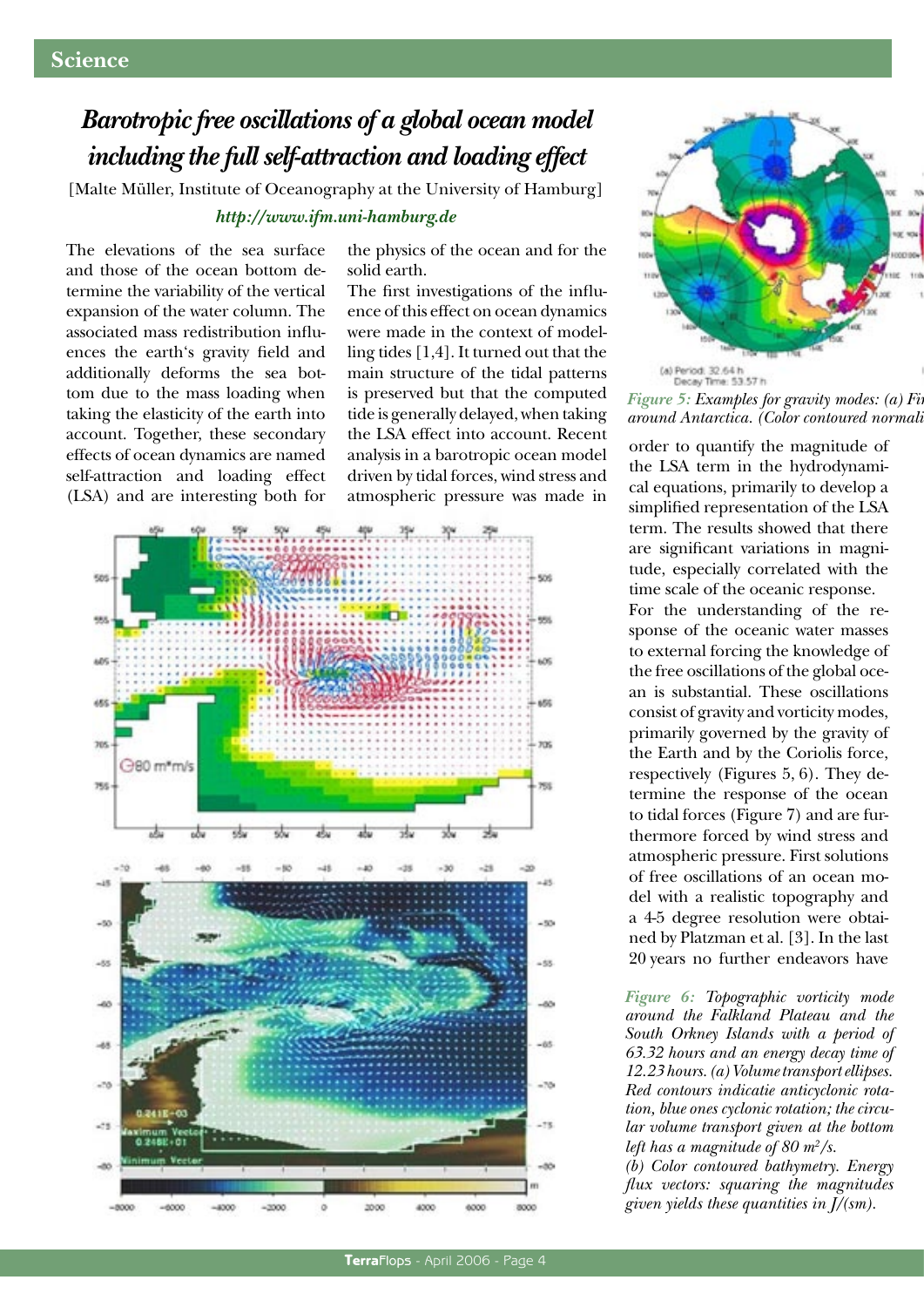# *Barotropic free oscillations of a global ocean model including the full self-attraction and loading effect*

[Malte Müller, Institute of Oceanography at the University of Hamburg]

#### *http://www.ifm.uni-hamburg.de*

The elevations of the sea surface and those of the ocean bottom determine the variability of the vertical expansion of the water column. The associated mass redistribution influences the earth's gravity field and additionally deforms the sea bottom due to the mass loading when taking the elasticity of the earth into account. Together, these secondary effects of ocean dynamics are named self-attraction and loading effect (LSA) and are interesting both for

the physics of the ocean and for the solid earth.

The first investigations of the influence of this effect on ocean dynamics were made in the context of modelling tides [1,4]. It turned out that the main structure of the tidal patterns is preserved but that the computed tide is generally delayed, when taking the LSA effect into account. Recent analysis in a barotropic ocean model driven by tidal forces, wind stress and atmospheric pressure was made in





*Figure 5: Examples for gravity modes: (a) Firearound Antarctica. (Color contoured normalized amplitudes of sea-surface elevation and solid lines of equal phases)*

order to quantify the magnitude of the LSA term in the hydrodynamical equations, primarily to develop a simplified representation of the LSA term. The results showed that there are significant variations in magnitude, especially correlated with the time scale of the oceanic response. For the understanding of the response of the oceanic water masses to external forcing the knowledge of the free oscillations of the global ocean is substantial. These oscillations consist of gravity and vorticity modes, primarily governed by the gravity of the Earth and by the Coriolis force, respectively (Figures 5, 6). They determine the response of the ocean to tidal forces (Figure 7) and are furthermore forced by wind stress and atmospheric pressure. First solutions of free oscillations of an ocean model with a realistic topography and a 4-5 degree resolution were obtained by Platzman et al. [3]. In the last 20 years no further endeavors have

*Figure 6: Topographic vorticity mode around the Falkland Plateau and the South Orkney Islands with a period of 63.32 hours and an energy decay time of 12.23 hours. (a) Volume transport ellipses. Red contours indicatie anticyclonic rotation, blue ones cyclonic rotation; the circular volume transport given at the bottom left has a magnitude of 80 m2 /s. (b) Color contoured bathymetry. Energy flux vectors: squaring the magnitudes given yields these quantities in J/(sm).*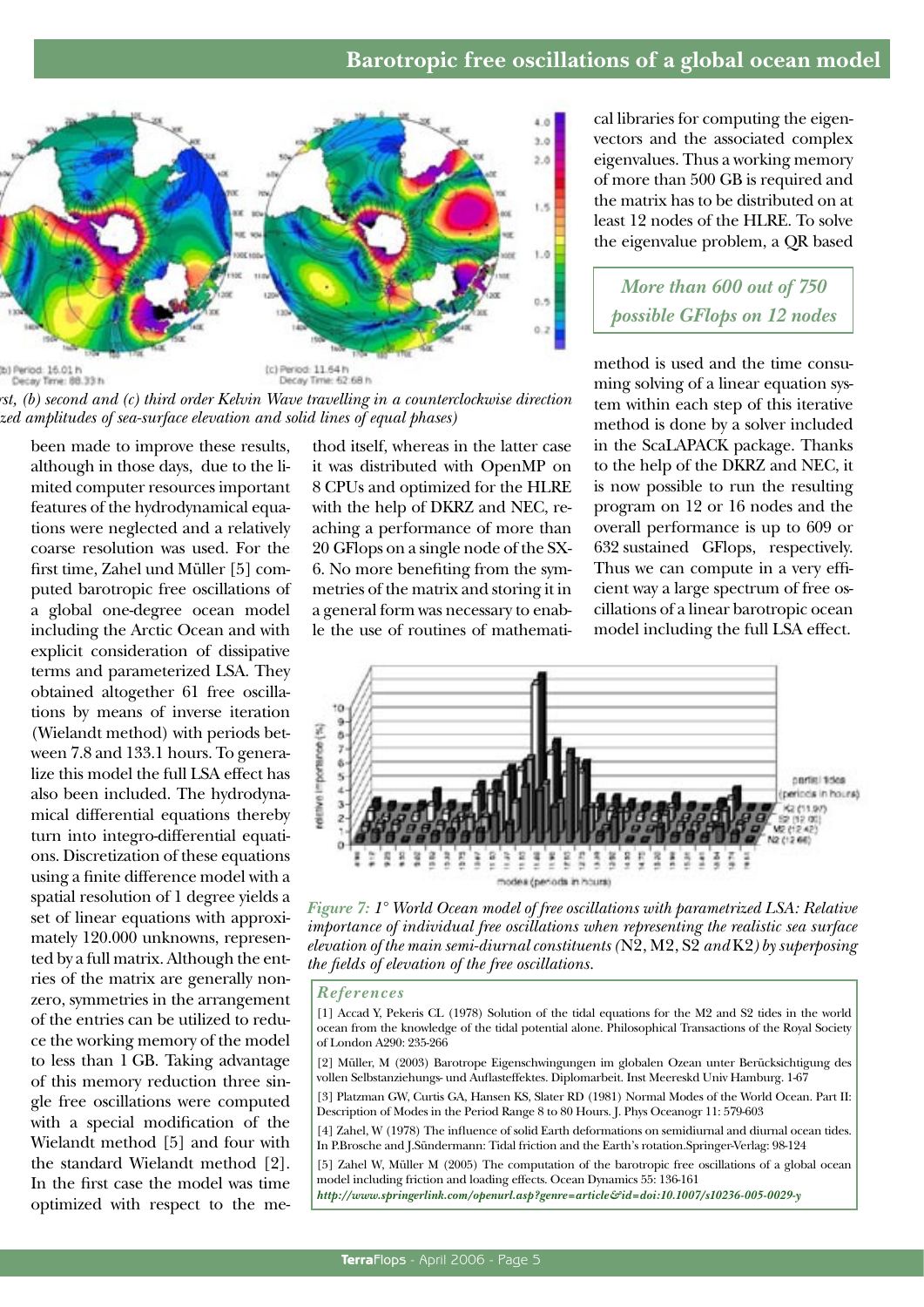

*Figure 5: Examples for gravity modes: (a) First, (b) second and (c) third order Kelvin Wave travelling in a counterclockwise direction around Antarctica. (Color contoured normalized amplitudes of sea-surface elevation and solid lines of equal phases)*

been made to improve these results, although in those days, due to the limited computer resources important features of the hydrodynamical equations were neglected and a relatively coarse resolution was used. For the first time, Zahel und Müller [5] computed barotropic free oscillations of a global one-degree ocean model including the Arctic Ocean and with explicit consideration of dissipative terms and parameterized LSA. They obtained altogether 61 free oscillations by means of inverse iteration (Wielandt method) with periods between 7.8 and 133.1 hours. To generalize this model the full LSA effect has also been included. The hydrodynamical differential equations thereby turn into integro-differential equations. Discretization of these equations using a finite difference model with a spatial resolution of 1 degree yields a set of linear equations with approximately 120.000 unknowns, represented by a full matrix. Although the entries of the matrix are generally nonzero, symmetries in the arrangement of the entries can be utilized to reduce the working memory of the model to less than 1 GB. Taking advantage of this memory reduction three single free oscillations were computed with a special modification of the Wielandt method [5] and four with the standard Wielandt method [2]. In the first case the model was time optimized with respect to the me-

thod itself, whereas in the latter case it was distributed with OpenMP on 8 CPUs and optimized for the HLRE with the help of DKRZ and NEC, reaching a performance of more than 20 GFlops on a single node of the SX-6. No more benefiting from the symmetries of the matrix and storing it in a general form was necessary to enable the use of routines of mathematical libraries for computing the eigenvectors and the associated complex eigenvalues. Thus a working memory of more than 500 GB is required and the matrix has to be distributed on at least 12 nodes of the HLRE. To solve the eigenvalue problem, a QR based

*More than 600 out of 750 possible GFlops on 12 nodes*

method is used and the time consuming solving of a linear equation system within each step of this iterative method is done by a solver included in the ScaLAPACK package. Thanks to the help of the DKRZ and NEC, it is now possible to run the resulting program on 12 or 16 nodes and the overall performance is up to 609 or 632 sustained GFlops, respectively. Thus we can compute in a very efficient way a large spectrum of free oscillations of a linear barotropic ocean model including the full LSA effect.



*Figure 7: 1° World Ocean model of free oscillations with parametrized LSA: Relative importance of individual free oscillations when representing the realistic sea surface elevation of the main semi-diurnal constituents (*N2, M2, S2 *and* K2*) by superposing the fields of elevation of the free oscillations.*

#### *References*

- [1] Accad Y, Pekeris CL (1978) Solution of the tidal equations for the M2 and S2 tides in the world ocean from the knowledge of the tidal potential alone. Philosophical Transactions of the Royal Society of London A290: 235-266
- [2] Müller, M (2003) Barotrope Eigenschwingungen im globalen Ozean unter Berücksichtigung des vollen Selbstanziehungs- und Auflasteffektes. Diplomarbeit. Inst Meereskd Univ Hamburg. 1-67
- [3] Platzman GW, Curtis GA, Hansen KS, Slater RD (1981) Normal Modes of the World Ocean. Part II: Description of Modes in the Period Range 8 to 80 Hours. J. Phys Oceanogr 11: 579-603
- [4] Zahel, W (1978) The influence of solid Earth deformations on semidiurnal and diurnal ocean tides. In P.Brosche and J.Sündermann: Tidal friction and the Earth's rotation.Springer-Verlag: 98-124
- [5] Zahel W, Müller M (2005) The computation of the barotropic free oscillations of a global ocean model including friction and loading effects. Ocean Dynamics 55: 136-161

*http://www.springerlink.com/openurl.asp?genre=article&id=doi:10.1007/s10236-005-0029-y*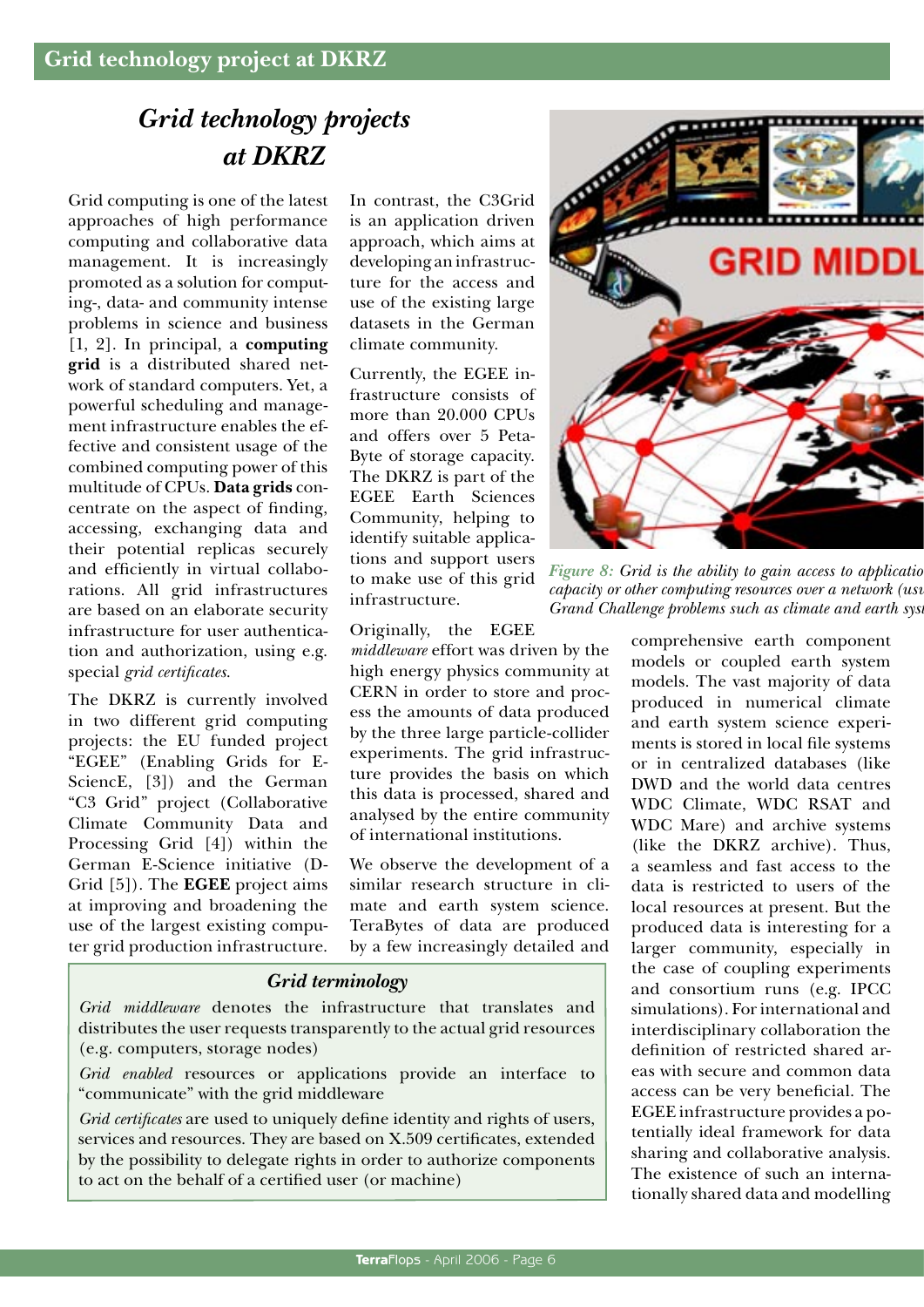# *Grid technology projects at DKRZ*

Grid computing is one of the latest approaches of high performance computing and collaborative data management. It is increasingly promoted as a solution for computing-, data- and community intense problems in science and business [1, 2]. In principal, a **computing grid** is a distributed shared network of standard computers. Yet, a powerful scheduling and management infrastructure enables the effective and consistent usage of the combined computing power of this multitude of CPUs. **Data grids** concentrate on the aspect of finding, accessing, exchanging data and their potential replicas securely and efficiently in virtual collaborations. All grid infrastructures are based on an elaborate security infrastructure for user authentication and authorization, using e.g. special *grid certificates*.

The DKRZ is currently involved in two different grid computing projects: the EU funded project "EGEE" (Enabling Grids for E-SciencE, [3]) and the German "C3 Grid" project (Collaborative Climate Community Data and Processing Grid [4]) within the German E-Science initiative (D-Grid [5]). The **EGEE** project aims at improving and broadening the use of the largest existing computer grid production infrastructure.

In contrast, the C3Grid is an application driven approach, which aims at developing an infrastructure for the access and use of the existing large datasets in the German climate community.

Currently, the EGEE infrastructure consists of more than 20.000 CPUs and offers over 5 Peta-Byte of storage capacity. The DKRZ is part of the EGEE Earth Sciences Community, helping to identify suitable applications and support users to make use of this grid infrastructure.

Originally, the EGEE

*middleware* effort was driven by the high energy physics community at CERN in order to store and process the amounts of data produced by the three large particle-collider experiments. The grid infrastructure provides the basis on which this data is processed, shared and analysed by the entire community of international institutions.

We observe the development of a similar research structure in climate and earth system science. TeraBytes of data are produced by a few increasingly detailed and

#### *Grid terminology*

*Grid middleware* denotes the infrastructure that translates and distributes the user requests transparently to the actual grid resources (e.g. computers, storage nodes)

*Grid enabled* resources or applications provide an interface to "communicate" with the grid middleware

*Grid certificates* are used to uniquely define identity and rights of users, services and resources. They are based on X.509 certificates, extended by the possibility to delegate rights in order to authorize components to act on the behalf of a certified user (or machine)





*Figure 8: Grid is the ability to gain access to applications capacity or other computing resources over a network (usually the internet). Grand Challenge problems such as climate and earth sys* 

comprehensive earth component models or coupled earth system models. The vast majority of data produced in numerical climate and earth system science experiments is stored in local file systems or in centralized databases (like DWD and the world data centres WDC Climate, WDC RSAT and WDC Mare) and archive systems (like the DKRZ archive). Thus, a seamless and fast access to the data is restricted to users of the local resources at present. But the produced data is interesting for a larger community, especially in the case of coupling experiments and consortium runs (e.g. IPCC simulations). For international and interdisciplinary collaboration the definition of restricted shared areas with secure and common data access can be very beneficial. The EGEE infrastructure provides a potentially ideal framework for data sharing and collaborative analysis. The existence of such an internationally shared data and modelling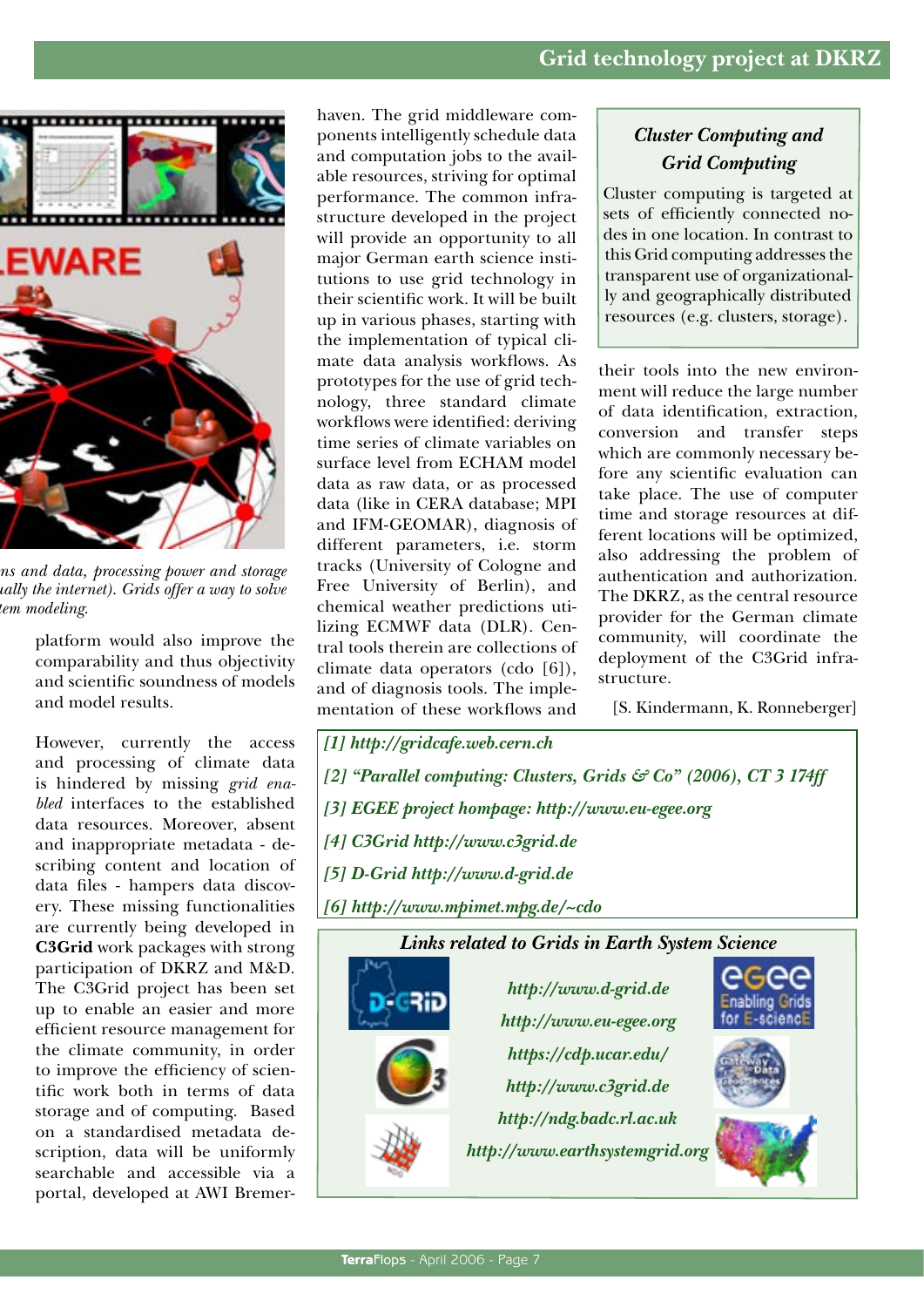

*Figure 8: Grid is the ability to gain access to applications and data, processing power and storage capacity or other computing resources over a network (usually the internet). Grids offer a way to solve dem* modeling.

platform would also improve the comparability and thus objectivity and scientific soundness of models and model results.

However, currently the access and processing of climate data is hindered by missing *grid enabled* interfaces to the established data resources. Moreover, absent and inappropriate metadata - describing content and location of data files - hampers data discovery. These missing functionalities are currently being developed in **C3Grid** work packages with strong participation of DKRZ and M&D. The C3Grid project has been set up to enable an easier and more efficient resource management for the climate community, in order to improve the efficiency of scientific work both in terms of data storage and of computing. Based on a standardised metadata description, data will be uniformly searchable and accessible via a portal, developed at AWI Bremerhaven. The grid middleware components intelligently schedule data and computation jobs to the available resources, striving for optimal performance. The common infrastructure developed in the project will provide an opportunity to all major German earth science institutions to use grid technology in their scientific work. It will be built up in various phases, starting with the implementation of typical climate data analysis workflows. As prototypes for the use of grid technology, three standard climate workflows were identified: deriving time series of climate variables on surface level from ECHAM model data as raw data, or as processed data (like in CERA database; MPI and IFM-GEOMAR), diagnosis of different parameters, i.e. storm tracks (University of Cologne and Free University of Berlin), and chemical weather predictions utilizing ECMWF data (DLR). Central tools therein are collections of climate data operators (cdo [6]), and of diagnosis tools. The implementation of these workflows and

## *Cluster Computing and Grid Computing*

Cluster computing is targeted at sets of efficiently connected nodes in one location. In contrast to this Grid computing addresses the transparent use of organizationally and geographically distributed resources (e.g. clusters, storage).

their tools into the new environment will reduce the large number of data identification, extraction, conversion and transfer steps which are commonly necessary before any scientific evaluation can take place. The use of computer time and storage resources at different locations will be optimized, also addressing the problem of authentication and authorization. The DKRZ, as the central resource provider for the German climate community, will coordinate the deployment of the C3Grid infrastructure.

[S. Kindermann, K. Ronneberger]

*[1] http://gridcafe.web.cern.ch [2] "Parallel computing: Clusters, Grids & Co" (2006), CT 3 174ff [3] EGEE project hompage: http://www.eu-egee.org [4] C3Grid http://www.c3grid.de [5] D-Grid http://www.d-grid.de [6] http://www.mpimet.mpg.de/~cdo Links related to Grids in Earth System Science http://www.d-grid.de* **Enabling Grids** for E-sciencE *http://www.eu-egee.org https://cdp.ucar.edu/ http://www.c3grid.de http://ndg.badc.rl.ac.uk http://www.earthsystemgrid.org*